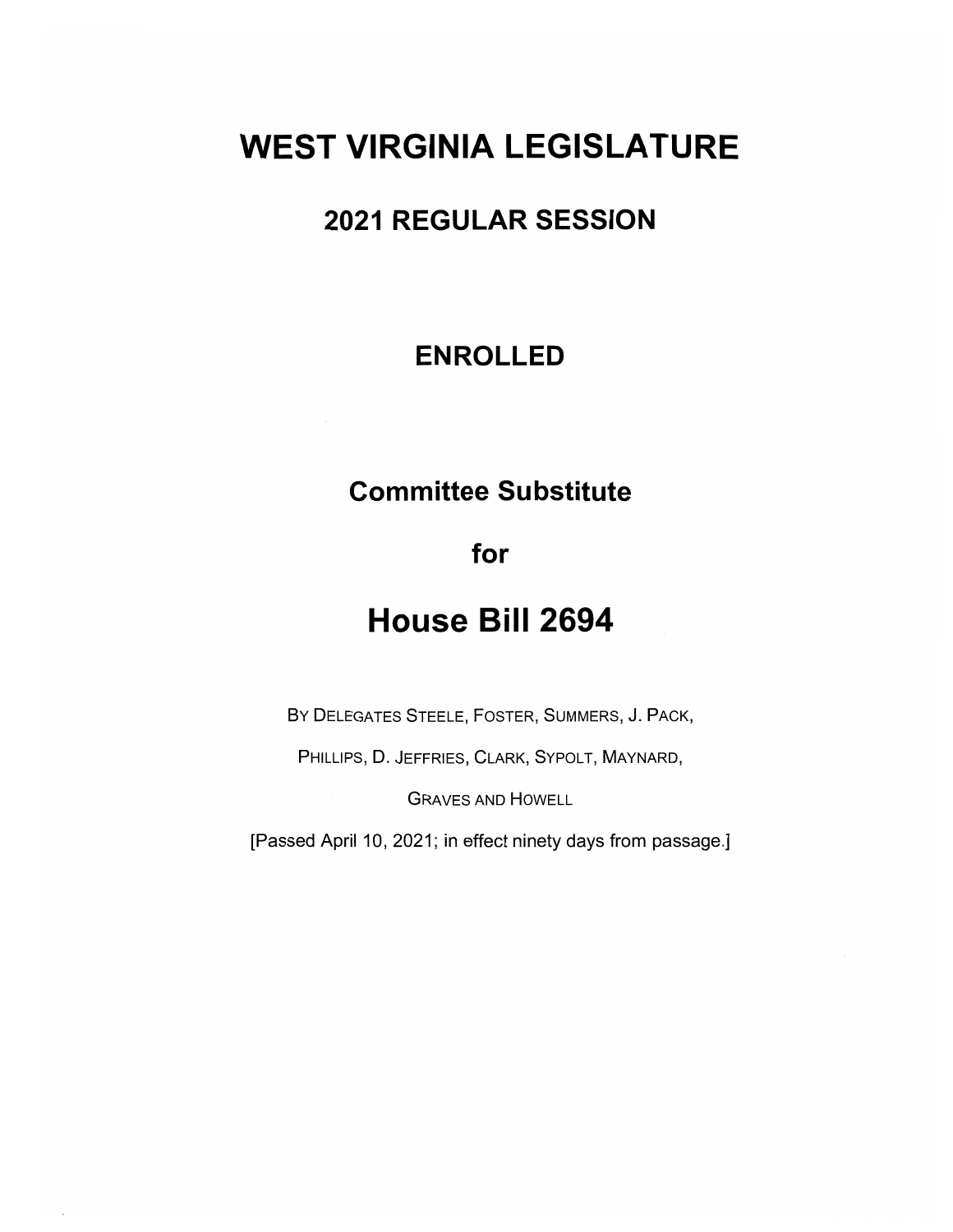# **WEST VIRGINIA LEGISLATURE**

## **2021 REGULAR SESSION**

## **ENROLLED**

### **Committee Substitute**

**for** 

# **House Bill 2694**

BY DELEGATES STEELE, FOSTER, SUMMERS, J. PACK,

PHILLIPS, 0. JEFFRIES, CLARK, SYPOLT, MAYNARD,

GRAVES AND HOWELL

[Passed April 10, 2021; in effect ninety days from passage.]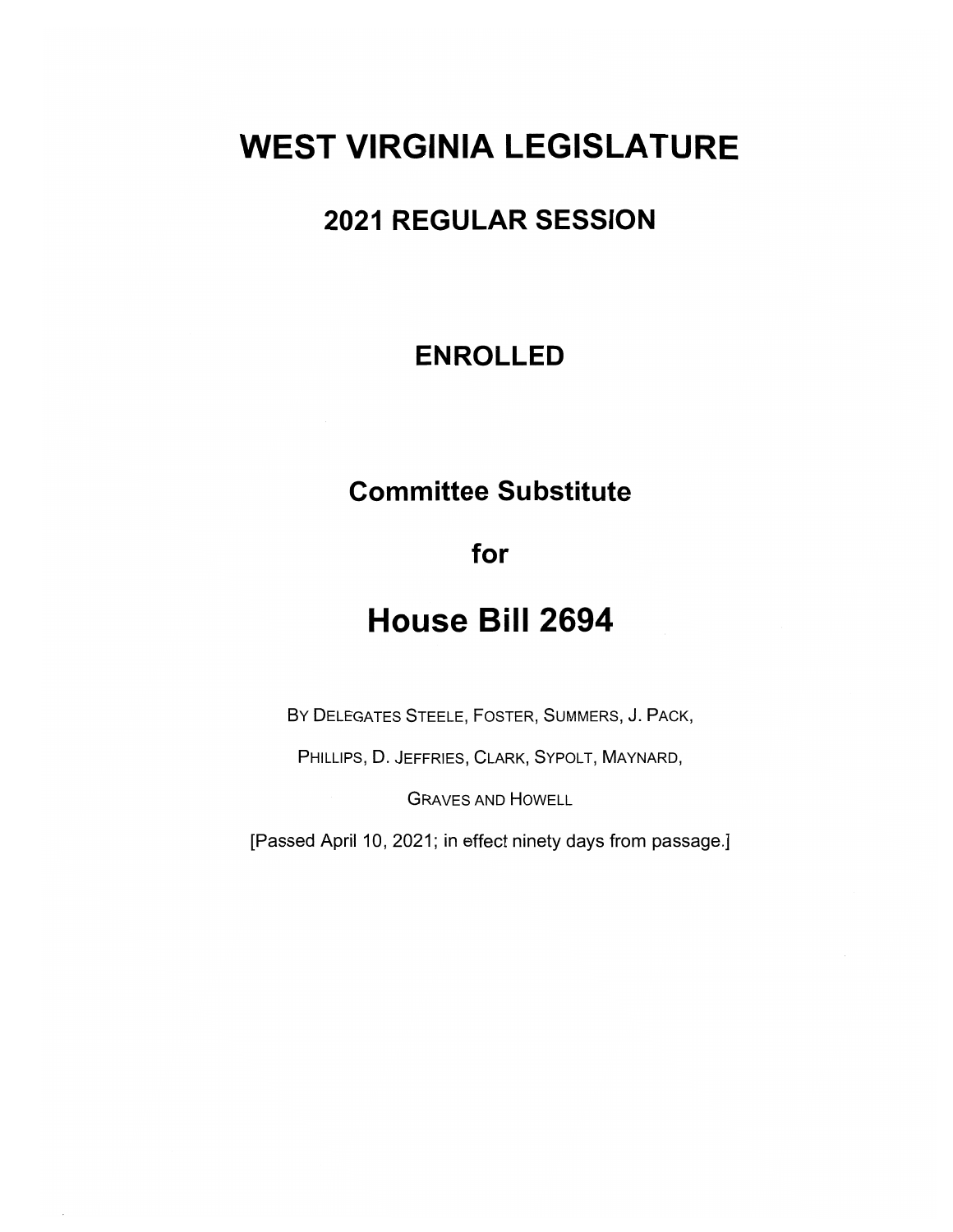# **WEST VIRGINIA LEGISLATURE**

## **2021 REGULAR SESSION**

## **ENROLLED**

### **Committee Substitute**

### **for**

# **House Bill 2694**

BY DELEGATES STEELE, FOSTER, SUMMERS, J. PACK,

PHILLIPS, D. JEFFRIES, CLARK, SYPOLT, MAYNARD,

GRAVES AND HOWELL

[Passed April 10, 2021; in effect ninety days from passage.]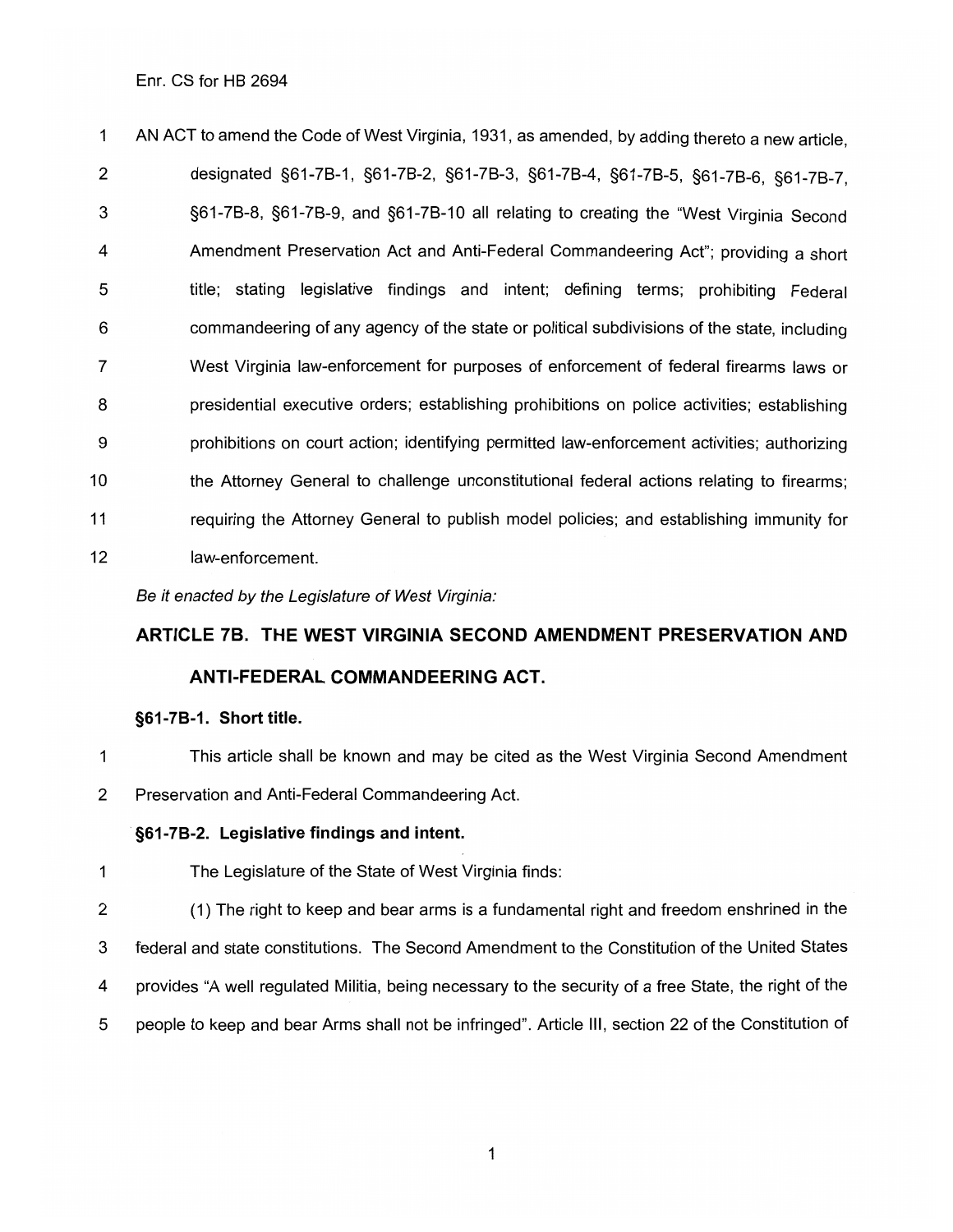1 AN ACT to amend the Code of West Virginia, 1931, as amended, by adding thereto a new article, 2 designated §61-7B-1, §61-7B-2, §61-7B-3, §61-7B-4, §61-7B-5, §61-7B-6, §61-7B-7, 3 §61-7B-8, §61-7B-9, and §61-7B-10 all relating to creating the "West Virginia Second 4 Amendment Preservation Act and Anti-Federal Commandeering Act"; providing a short 5 title; stating legislative findings and intent; defining terms; prohibiting Federal 6 commandeering of any agency of the state or political subdivisions of the state, including 7 West Virginia law-enforcement for purposes of enforcement of federal firearms laws or 8 presidential executive orders; establishing prohibitions on police activities; establishing 9 prohibitions on court action; identifying permitted law-enforcement activities; authorizing 10 the Attorney General to challenge unconstitutional federal actions relating to firearms; 11 requiring the Attorney General to publish model policies; and establishing immunity for 12 law-enforcement.

Be it enacted by the Legislature of West Virginia:

### **ARTICLE 7B. THE WEST VIRGINIA SECOND AMENDMENT PRESERVATION AND ANTI-FEDERAL COMMANDEERING ACT.**

#### **§61-7B-1. Short title.**

1 This article shall be known and may be cited as the West Virginia Second Amendment

2 Preservation and Anti-Federal Commandeering Act.

#### **§61-7B-2. Legislative findings and intent.**

1 The Legislature of the State of West Virginia finds:

2 (1) The right to keep and bear arms is a fundamental right and freedom enshrined in the

3 federal and state constitutions. The Second Amendment to the Constitution of the United States

- 4 provides "A well regulated Militia, being necessary to the security of a free State, the right of the
- 5 people to keep and bear Arms shall not be infringed". Article Ill, section 22 of the Constitution of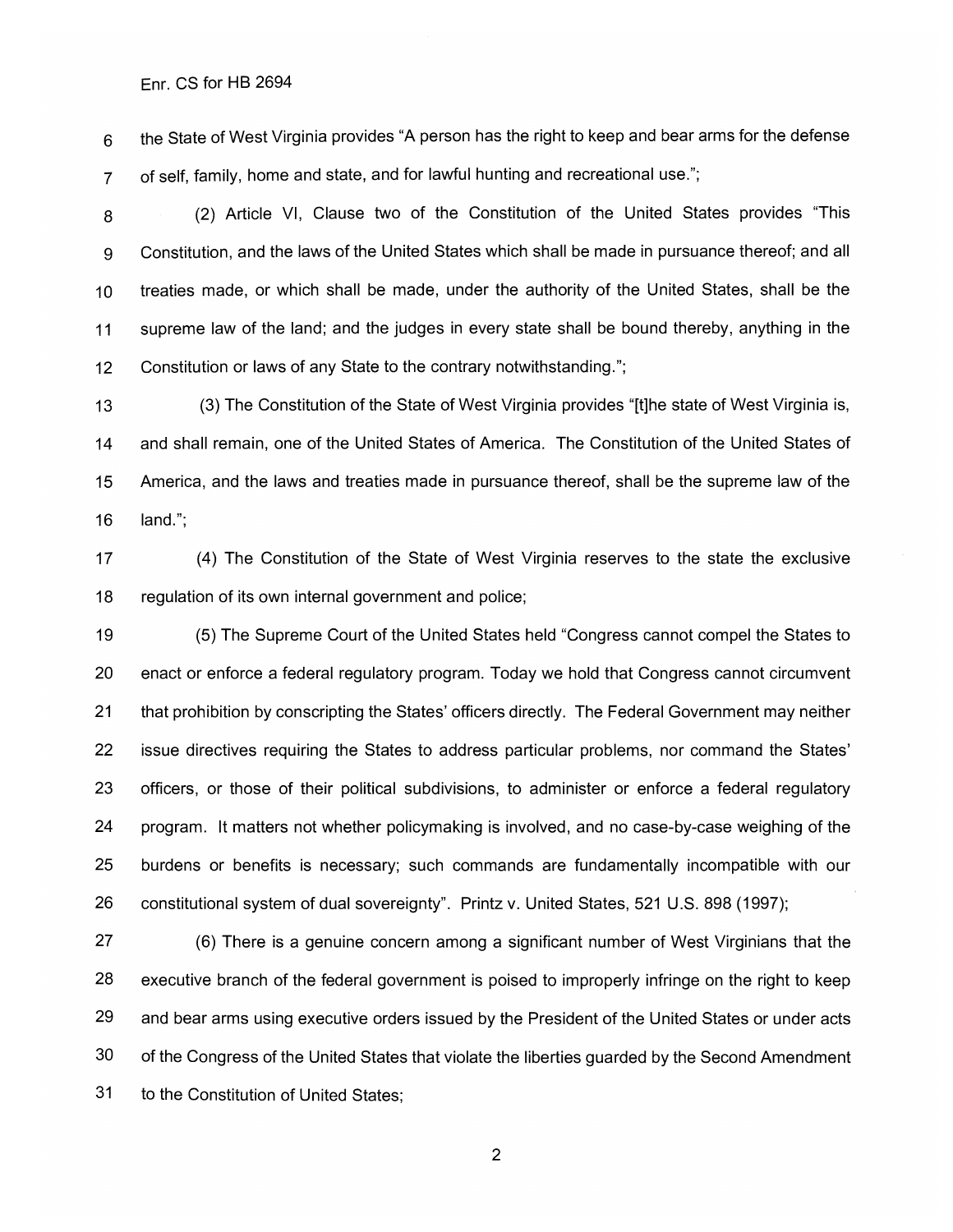6 the State of West Virginia provides "A person has the right to keep and bear arms for the defense 7 of self, family, home and state, and for lawful hunting and recreational use.";

8 (2) Article VI, Clause two of the Constitution of the United States provides "This 9 Constitution, and the laws of the United States which shall be made in pursuance thereof; and all 10 treaties made, or which shall be made, under the authority of the United States, shall be the 11 supreme law of the land; and the judges in every state shall be bound thereby, anything in the 12 Constitution or laws of any State to the contrary notwithstanding.";

13 (3) The Constitution of the State of West Virginia provides "[t]he state of West Virginia is, 14 and shall remain, one of the United States of America. The Constitution of the United States of 15 America, and the laws and treaties made in pursuance thereof, shall be the supreme law of the 16 land.";

17 (4) The Constitution of the State of West Virginia reserves to the state the exclusive 18 regulation of its own internal government and police;

19 (5) The Supreme Court of the United States held "Congress cannot compel the States to 20 enact or enforce a federal regulatory program. Today we hold that Congress cannot circumvent 21 that prohibition by conscripting the States' officers directly. The Federal Government may neither 22 issue directives requiring the States to address particular problems, nor command the States' 23 officers, or those of their political subdivisions, to administer or enforce a federal regulatory 24 program. It matters not whether policymaking is involved, and no case-by-case weighing of the 25 burdens or benefits is necessary; such commands are fundamentally incompatible with our 26 constitutional system of dual sovereignty". Printz v. United States, 521 U.S. 898 (1997);

27 (6) There is a genuine concern among a significant number of West Virginians that the 28 executive branch of the federal government is poised to improperly infringe on the right to keep 29 and bear arms using executive orders issued by the President of the United States or under acts 30 of the Congress of the United States that violate the liberties guarded by the Second Amendment 31 to the Constitution of United States;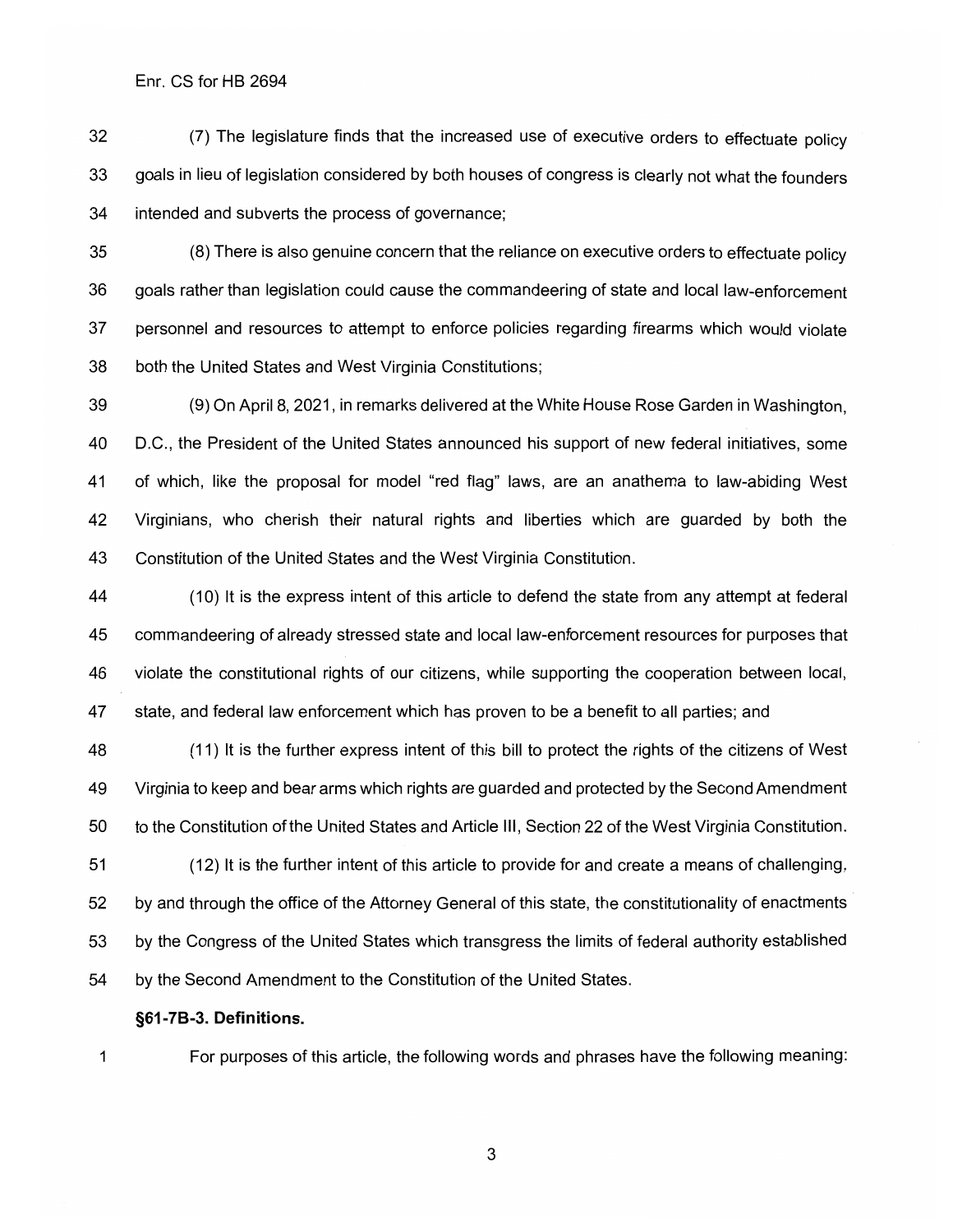32 (7) The legislature finds that the increased use of executive orders to effectuate policy 33 goals in lieu of legislation considered by both houses of congress is clearly not what the founders 34 intended and subverts the process of governance;

35 (8) There is also genuine concern that the reliance on executive orders to effectuate policy 36 goals rather than legislation could cause the commandeering of state and local law-enforcement 37 personnel and resources to attempt to enforce policies regarding firearms which would violate 38 both the United States and West Virginia Constitutions;

39 (9) On April 8, 2021, in remarks delivered at the White House Rose Garden in Washington, 40 D.C., the President of the United States announced his support of new federal initiatives, some 41 of which, like the proposal for model "red flag" laws, are an anathema to law-abiding West 42 Virginians, who cherish their natural rights and liberties which are guarded by both the 43 Constitution of the United States and the West Virginia Constitution.

44 (10) It is the express intent of this article to defend the state from any attempt at federal 45 commandeering of already stressed state and local law-enforcement resources for purposes that 46 violate the constitutional rights of our citizens, while supporting the cooperation between local, 47 state, and federal law enforcement which has proven to be a benefit to all parties; and

48 (11) It is the further express intent of this bill to protect the rights of the citizens of West 49 Virginia to keep and bear arms which rights are guarded and protected by the Second Amendment 50 to the Constitution of the United States and Article Ill, Section 22 of the West Virginia Constitution.

51 (12) It is the further intent of this article to provide for and create a means of challenging, 52 by and through the office of the Attorney General of this state, the constitutionality of enactments 53 by the Congress of the United States which transgress the limits of federal authority established 54 by the Second Amendment to the Constitution of the United States.

#### **§61-7B-3. Definitions.**

1 For purposes of this article, the following words and phrases have the following meaning: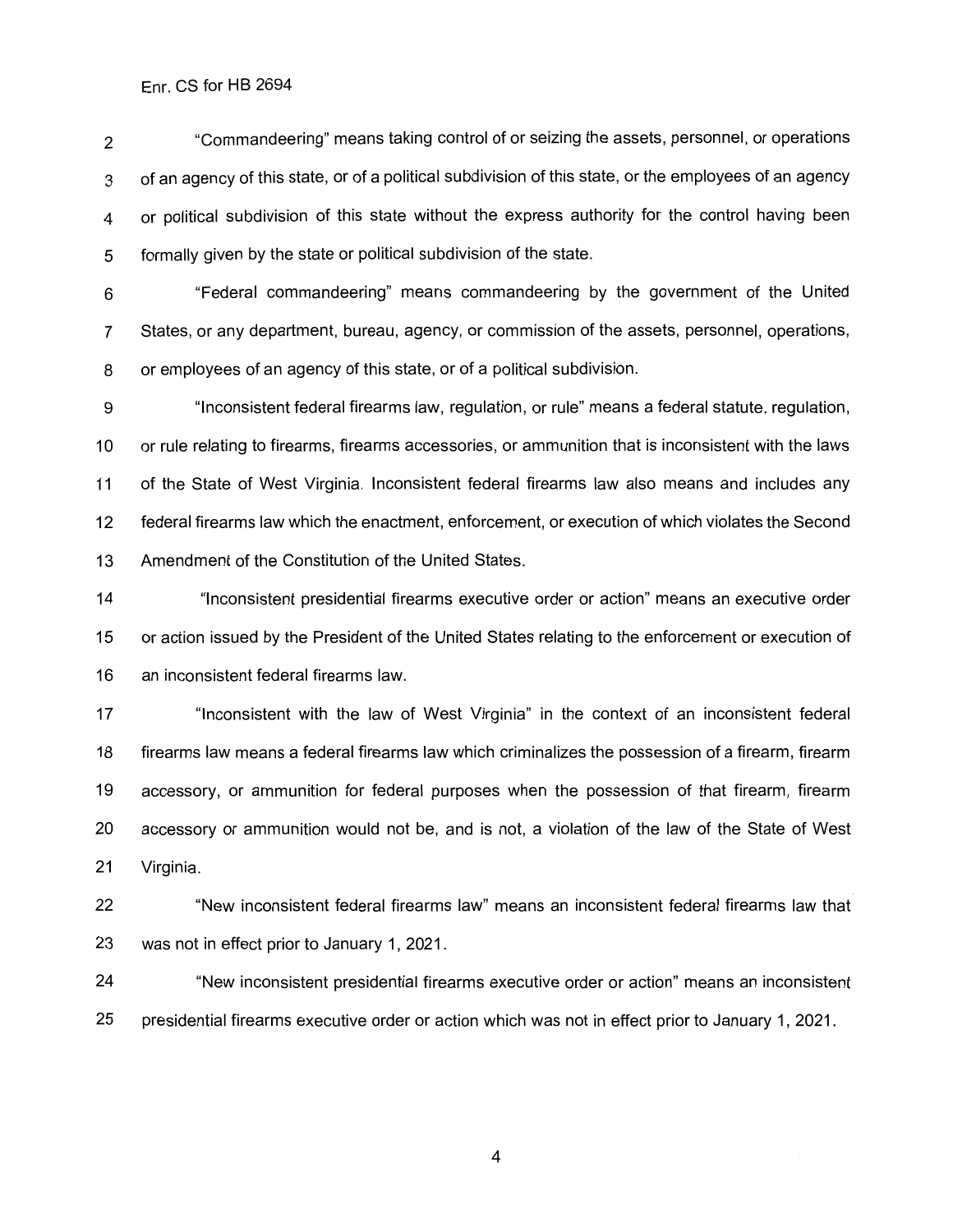2 "Commandeering" means taking control of or seizing the assets, personnel, or operations 3 of an agency of this state, or of a political subdivision of this state, or the employees of an agency 4 or political subdivision of this state without the express authority for the control having been 5 formally given by the state or political subdivision of the state.

6 "Federal commandeering" means commandeering by the government of the United 7 States, or any department, bureau, agency, or commission of the assets, personnel, operations, 8 or employees of an agency of this state, or of a political subdivision.

9 "Inconsistent federal firearms law, regulation, or rule" means a federal statute, regulation, 10 or rule relating to firearms, firearms accessories, or ammunition that is inconsistent with the laws 11 of the State of West Virginia. Inconsistent federal firearms law also means and includes any 12 federal firearms law which the enactment, enforcement, or execution of which violates the Second 13 Amendment of the Constitution of the United States.

14 "Inconsistent presidential firearms executive order or action" means an executive order 15 or action issued by the President of the United States relating to the enforcement or execution of 16 an inconsistent federal firearms law.

17 "Inconsistent with the law of West Virginia" in the context of an inconsistent federal 18 firearms law means a federal firearms law which criminalizes the possession of a firearm, firearm 19 accessory, or ammunition for federal purposes when the possession of that firearm, firearm 20 accessory or ammunition would not be, and is not, a violation of the law of the State of West 21 Virginia.

22 "New inconsistent federal firearms law" means an inconsistent federal firearms law that 23 was not in effect prior to January 1, 2021.

24 "New inconsistent presidential firearms executive order or action" means an inconsistent 25 presidential firearms executive order or action which was not in effect prior to January 1, 2021.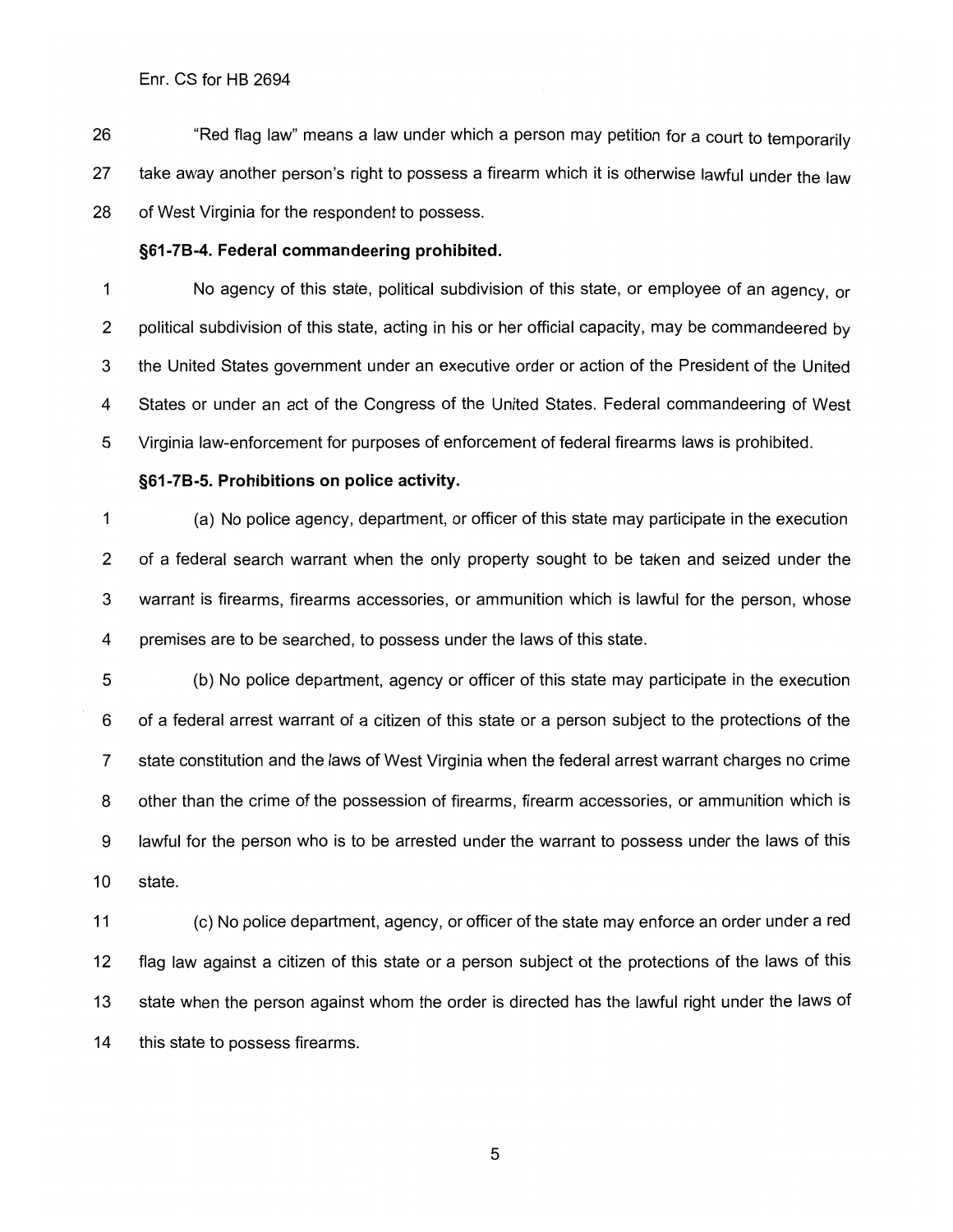26 "Red flag law" means a law under which a person may petition for a court to temporarily 27 take away another person's right to possess a firearm which it is otherwise lawful under the law 28 of West Virginia for the respondent to possess.

#### **§61-7B-4. Federal commandeering prohibited.**

1 No agency of this state, political subdivision of this state, or employee of an agency, or 2 political subdivision of this state, acting in his or her official capacity, may be commandeered by 3 the United States government under an executive order or action of the President of the United 4 States or under an act of the Congress of the United States. Federal commandeering of West 5 Virginia law-enforcement for purposes of enforcement of federal firearms laws is prohibited.

#### **§61-7B-5. Prohibitions on police activity.**

1 (a) No police agency, department, or officer of this state may participate in the execution 2 of a federal search warrant when the only property sought to be taken and seized under the 3 warrant is firearms, firearms accessories, or ammunition which is lawful for the person, whose 4 premises are to be searched, to possess under the laws of this state.

5 (b) No police department, agency or officer of this state may participate in the execution 6 of a federal arrest warrant of a citizen of this state or a person subject to the protections of the 7 state constitution and the laws of West Virginia when the federal arrest warrant charges no crime 8 other than the crime of the possession of firearms, firearm accessories, or ammunition which is 9 lawful for the person who is to be arrested under the warrant to possess under the laws of this 10 state.

11 (c) No police department, agency, or officer of the state may enforce an order under a red 12 flag law against a citizen of this state or a person subject ot the protections of the laws of this 13 state when the person against whom the order is directed has the lawful right under the laws of 14 this state to possess firearms.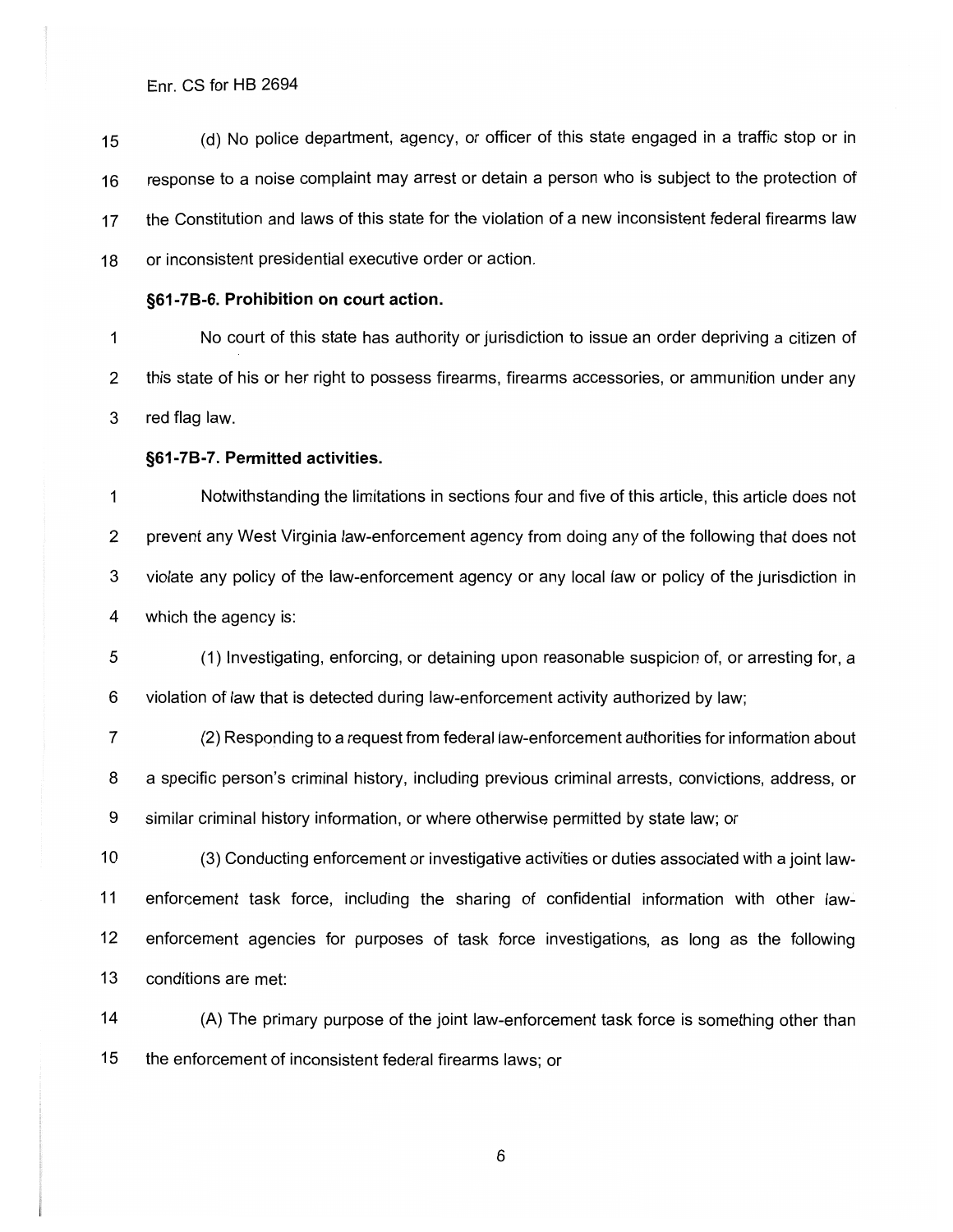15 (d) No police department, agency, or officer of this state engaged in a traffic stop or in 16 response to a noise complaint may arrest or detain a person who is subject to the protection of 17 the Constitution and laws of this state for the violation of a new inconsistent federal firearms law 18 or inconsistent presidential executive order or action.

### **§61-7B-6. Prohibition on court action.**

1 No court of this state has authority or jurisdiction to issue an order depriving a citizen of 2 this state of his or her right to possess firearms, firearms accessories, or ammunition under any 3 red flag law.

#### **§61-7B-7. Permitted activities.**

1 Notwithstanding the limitations in sections four and five of this article, this article does not 2 prevent any West Virginia law-enforcement agency from doing any of the following that does not 3 violate any policy of the law-enforcement agency or any local law or policy of the jurisdiction in 4 which the agency is:

5 (1) Investigating, enforcing, or detaining upon reasonable suspicion of, or arresting for, a 6 violation of law that is detected during law-enforcement activity authorized by law;

7 (2) Responding to a request from federal law-enforcement authorities for information about 8 a specific person's criminal history, including previous criminal arrests, convictions, address, or 9 similar criminal history information, or where otherwise permitted by state law; or

10 (3) Conducting enforcement or investigative activities or duties associated with a joint law-11 enforcement task force, including the sharing of confidential information with other law-12 enforcement agencies for purposes of task force investigations, as long as the following 13 conditions are met:

14 (A) The primary purpose of the joint law-enforcement task force is something other than 15 the enforcement of inconsistent federal firearms laws; or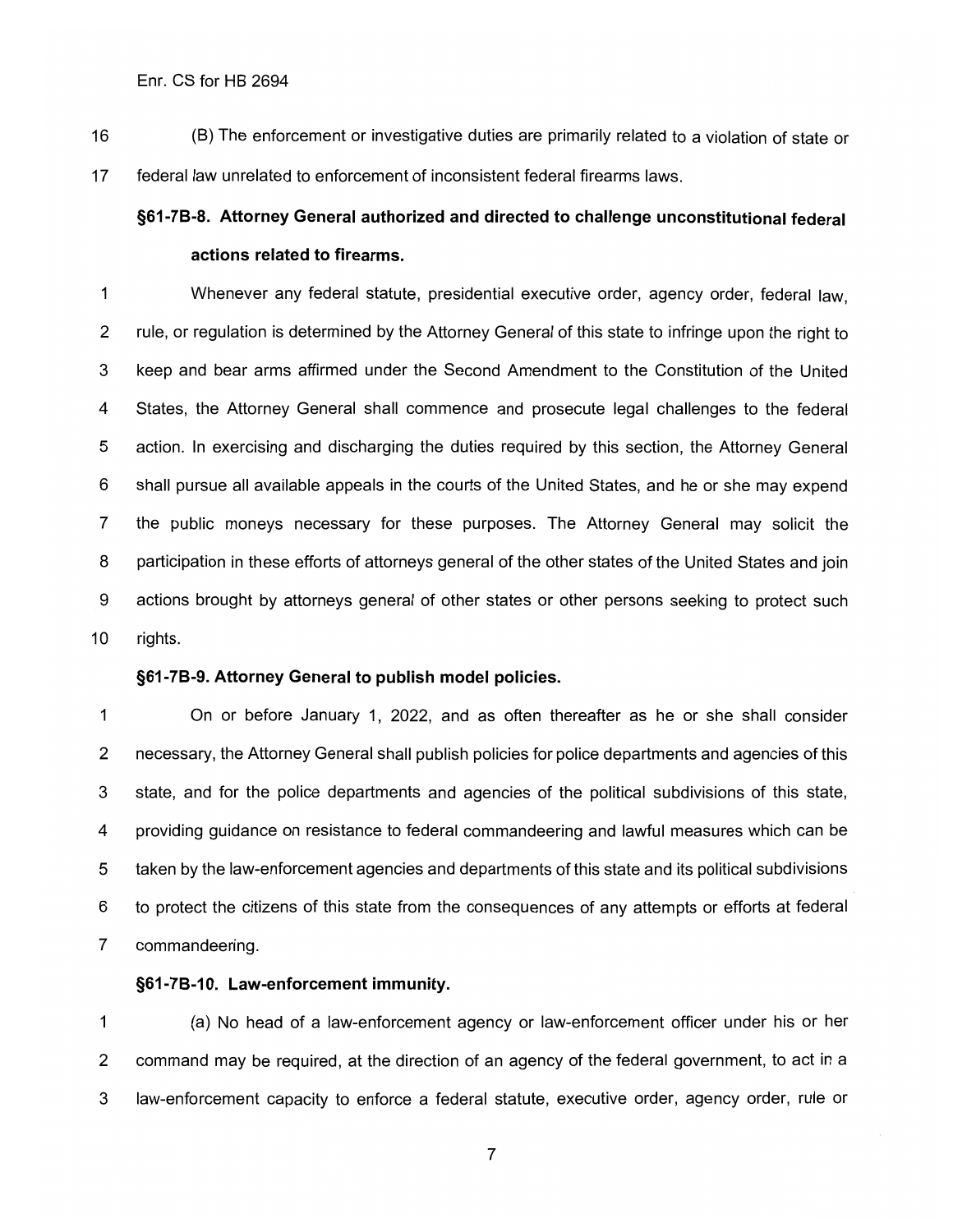16 (B) The enforcement or investigative duties are primarily related to a violation of state or

17 federal law unrelated to enforcement of inconsistent federal firearms laws.

### **§61-7B-8. Attorney General authorized and directed to challenge unconstitutional federal actions related to firearms.**

1 Whenever any federal statute, presidential executive order, agency order, federal law, 2 rule, or regulation is determined by the Attorney General of this state to infringe upon the right to 3 keep and bear arms affirmed under the Second Amendment to the Constitution of the United 4 States, the Attorney General shall commence and prosecute legal challenges to the federal 5 action. In exercising and discharging the duties required by this section, the Attorney General 6 shall pursue all available appeals in the courts of the United States, and he or she may expend 7 the public moneys necessary for these purposes. The Attorney General may solicit the 8 participation in these efforts of attorneys general of the other states of the United States and join 9 actions brought by attorneys general of other states or other persons seeking to protect such 10 rights.

#### **§61-7B-9. Attorney General to publish model policies.**

1 On or before January 1, 2022, and as often thereafter as he or she shall consider 2 necessary, the Attorney General shall publish policies for police departments and agencies of this 3 state, and for the police departments and agencies of the political subdivisions of this state, 4 providing guidance on resistance to federal commandeering and lawful measures which can be 5 taken by the law-enforcement agencies and departments of this state and its political subdivisions 6 to protect the citizens of this state from the consequences of any attempts or efforts at federal 7 commandeering.

#### **§61-7B-10. Law-enforcement immunity.**

1 (a) No head of a law-enforcement agency or law-enforcement officer under his or her 2 command may be required, at the direction of an agency of the federal government, to act in a 3 law-enforcement capacity to enforce a federal statute, executive order, agency order, rule or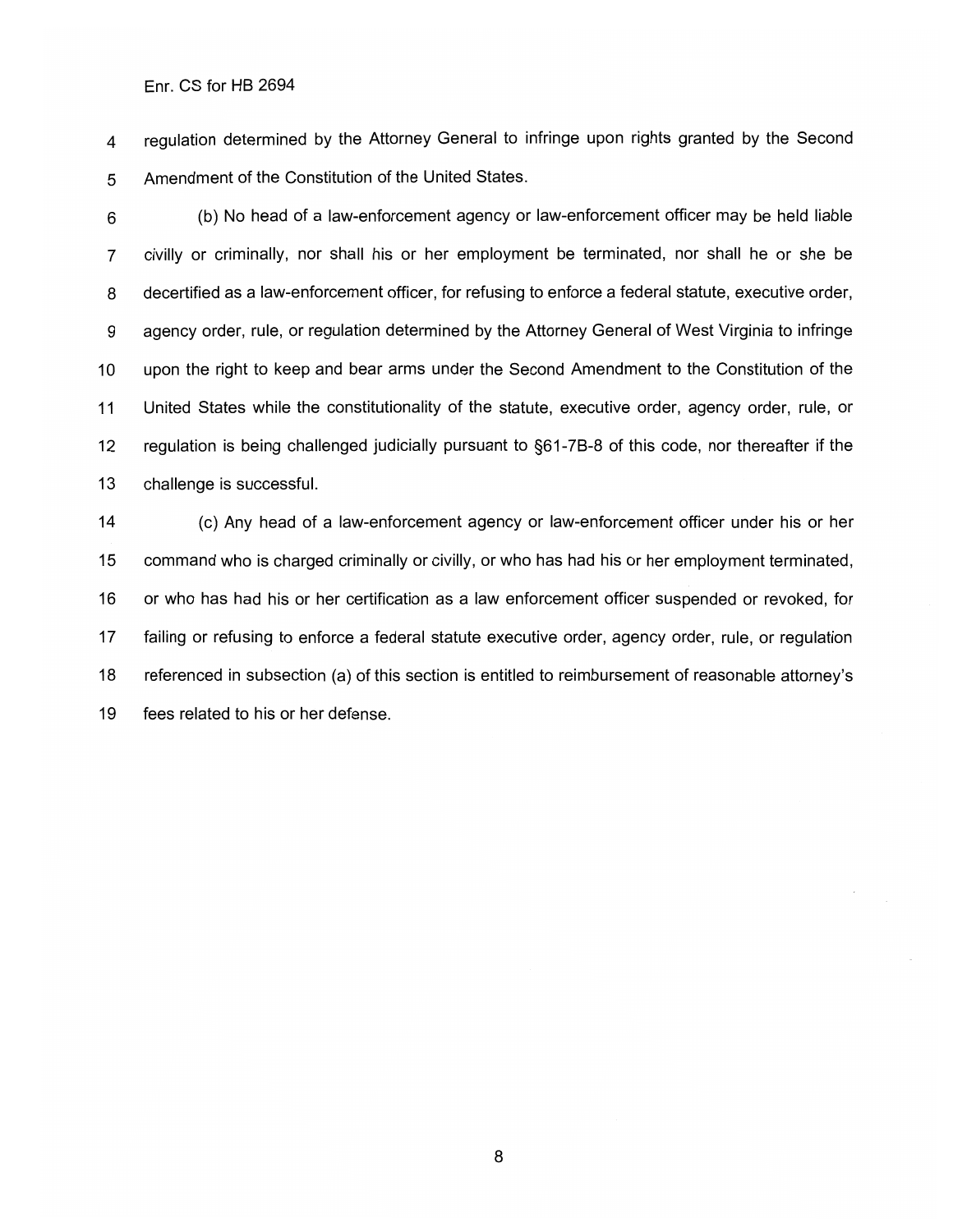4 regulation determined by the Attorney General to infringe upon rights granted by the Second 5 Amendment of the Constitution of the United States.

6 (b) No head of a law-enforcement agency or law-enforcement officer may be held liable 7 civilly or criminally, nor shall his or her employment be terminated, nor shall he or she be 8 decertified as a law-enforcement officer, for refusing to enforce a federal statute, executive order, 9 agency order, rule, or regulation determined by the Attorney General of West Virginia to infringe 10 upon the right to keep and bear arms under the Second Amendment to the Constitution of the 11 United States while the constitutionality of the statute, executive order, agency order, rule, or 12 regulation is being challenged judicially pursuant to §61-7B-8 of this code, nor thereafter if the 13 challenge is successful.

14 (c) Any head of a law-enforcement agency or law-enforcement officer under his or her 15 command who is charged criminally or civilly, or who has had his or her employment terminated, 16 or who has had his or her certification as a law enforcement officer suspended or revoked, for 17 failing or refusing to enforce a federal statute executive order, agency order, rule, or regulation 18 referenced in subsection (a) of this section is entitled to reimbursement of reasonable attorney's 19 fees related to his or her defense.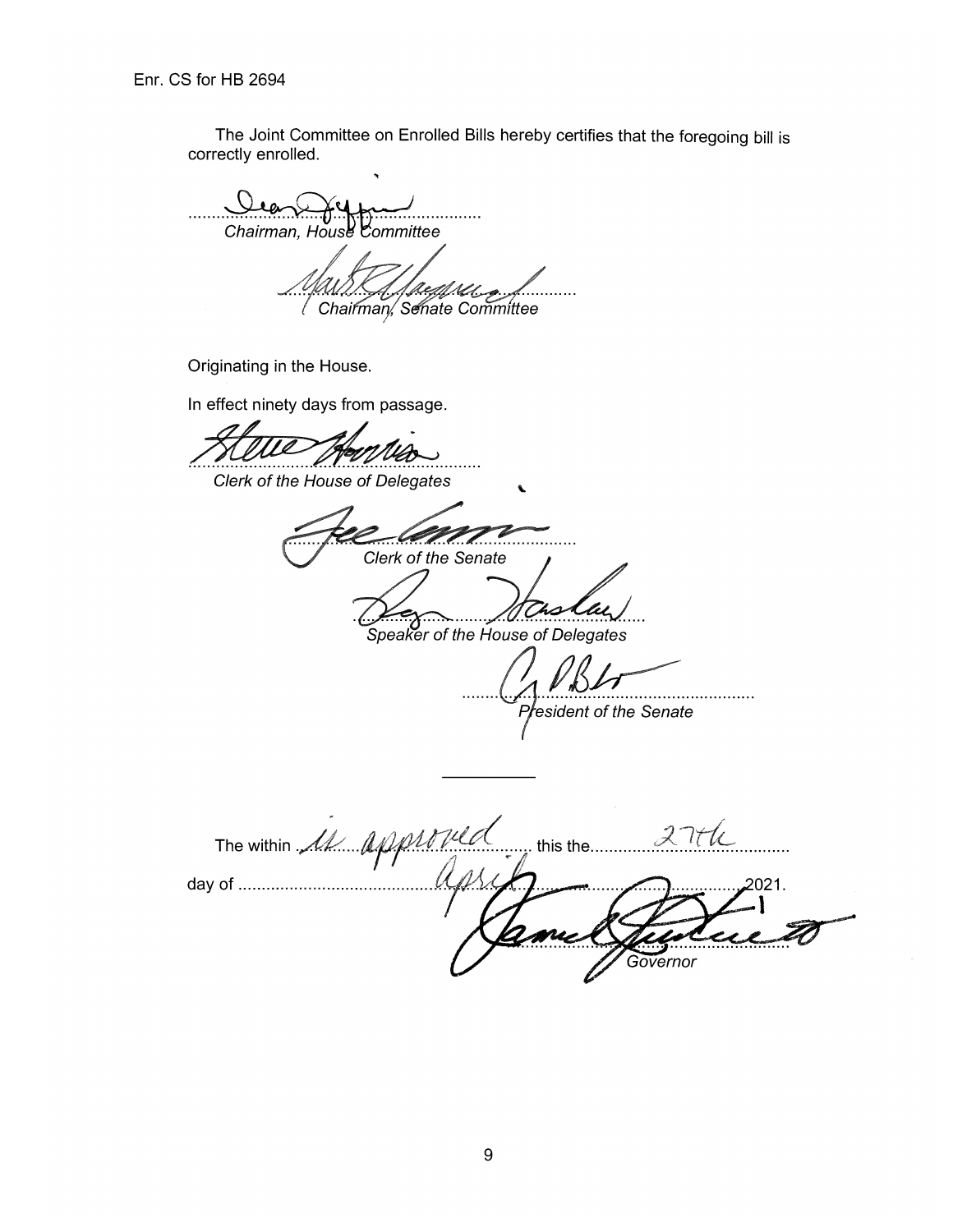The Joint Committee on Enrolled Bills hereby certifies that the foregoing bill is correctly enrolled.

Chairman, House Committee (Chairman, Senate Committee

Originating in the House.

In effect ninety days from passage.

Clerk of the House of Delegates

Clerk of the Senate

Speaker of the House of Delegates

. . . . . . . . . . . . . . . . *fesident of the Senate* 

The within  $\mathcal{M}_{\mathcal{M}}$ this the.... . . . . . . . 2021. Governor